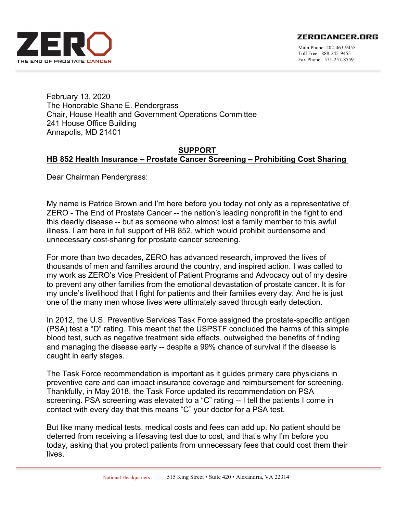**ZEROCANCER.ORG** 



Main Phone: 202-463-9455 Toll Free: 888-245-9455 Fax Phone: 571-257-8559

February 13, 2020 The Honorable Shane E. Pendergrass Chair, House Health and Government Operations Committee 241 House Office Building Annapolis, MD 21401

## **SUPPORT HB 852 Health Insurance – Prostate Cancer Screening – Prohibiting Cost Sharing**

Dear Chairman Pendergrass:

My name is Patrice Brown and I'm here before you today not only as a representative of ZERO - The End of Prostate Cancer -- the nation's leading nonprofit in the fight to end this deadly disease -- but as someone who almost lost a family member to this awful illness. I am here in full support of HB 852, which would prohibit burdensome and unnecessary cost-sharing for prostate cancer screening.

For more than two decades, ZERO has advanced research, improved the lives of thousands of men and families around the country, and inspired action. I was called to my work as ZERO's Vice President of Patient Programs and Advocacy out of my desire to prevent any other families from the emotional devastation of prostate cancer. It is for my uncle's livelihood that I fight for patients and their families every day. And he is just one of the many men whose lives were ultimately saved through early detection.

In 2012, the U.S. Preventive Services Task Force assigned the prostate-specific antigen (PSA) test a "D" rating. This meant that the USPSTF concluded the harms of this simple blood test, such as negative treatment side effects, outweighed the benefits of finding and managing the disease early -- despite a 99% chance of survival if the disease is caught in early stages.

The Task Force recommendation is important as it guides primary care physicians in preventive care and can impact insurance coverage and reimbursement for screening. Thankfully, in May 2018, the Task Force updated its recommendation on PSA screening. PSA screening was elevated to a "C" rating -- I tell the patients I come in contact with every day that this means "C" your doctor for a PSA test.

But like many medical tests, medical costs and fees can add up. No patient should be deterred from receiving a lifesaving test due to cost, and that's why I'm before you today, asking that you protect patients from unnecessary fees that could cost them their lives.